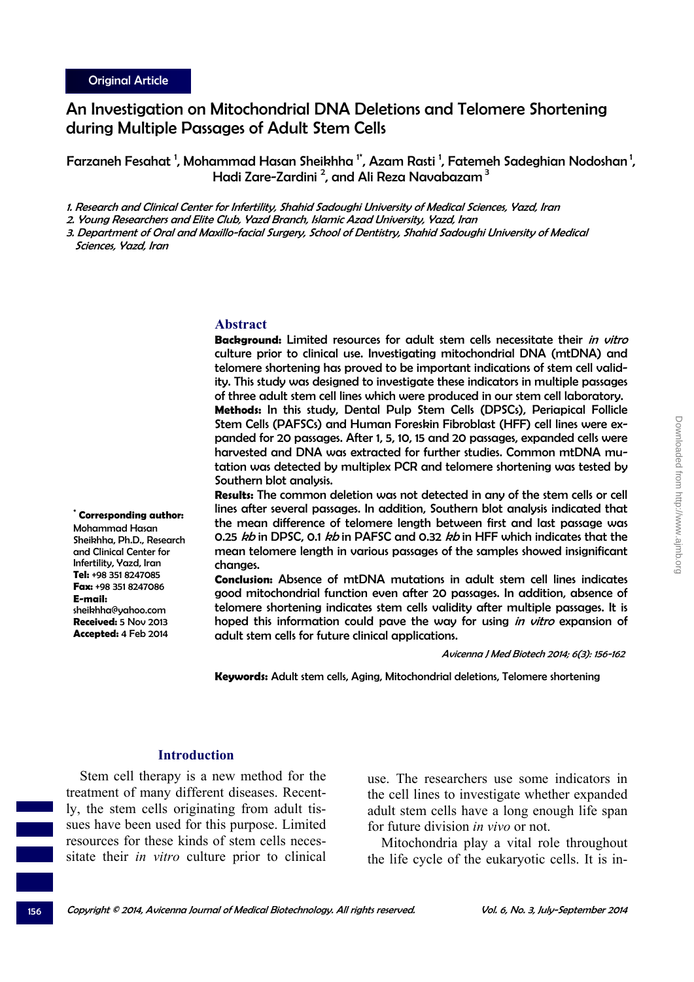# An Investigation on Mitochondrial DNA Deletions and Telomere Shortening during Multiple Passages of Adult Stem Cells

Farzaneh Fesahat  $^{\mathsf{1}}$ , Mohammad Hasan Sheikhha  $^{\mathsf{1}^\star}$ , Azam Rasti  $^{\mathsf{1}}$ , Fatemeh Sadeghian Nodoshan  $^{\mathsf{1}}$ , Hadi Zare-Zardini <sup>2</sup>, and Ali Reza Navabazam <sup>3</sup>

1. Research and Clinical Center for Infertility, Shahid Sadoughi University of Medical Sciences, Yazd, Iran

2. Young Researchers and Elite Club, Yazd Branch, Islamic Azad University, Yazd, Iran

3. Department of Oral and Maxillo-facial Surgery, School of Dentistry, Shahid Sadoughi University of Medical Sciences, Yazd, Iran

#### **Abstract**

**Background:** Limited resources for adult stem cells necessitate their in vitro culture prior to clinical use. Investigating mitochondrial DNA (mtDNA) and telomere shortening has proved to be important indications of stem cell validity. This study was designed to investigate these indicators in multiple passages of three adult stem cell lines which were produced in our stem cell laboratory. **Methods:** In this study, Dental Pulp Stem Cells (DPSCs), Periapical Follicle Stem Cells (PAFSCs) and Human Foreskin Fibroblast (HFF) cell lines were expanded for 20 passages. After 1, 5, 10, 15 and 20 passages, expanded cells were harvested and DNA was extracted for further studies. Common mtDNA mutation was detected by multiplex PCR and telomere shortening was tested by Southern blot analysis.

**Results:** The common deletion was not detected in any of the stem cells or cell lines after several passages. In addition, Southern blot analysis indicated that the mean difference of telomere length between first and last passage was 0.25 kb in DPSC, 0.1 kb in PAFSC and 0.32 kb in HFF which indicates that the mean telomere length in various passages of the samples showed insignificant changes.

**Conclusion:** Absence of mtDNA mutations in adult stem cell lines indicates good mitochondrial function even after 20 passages. In addition, absence of telomere shortening indicates stem cells validity after multiple passages. It is hoped this information could pave the way for using in vitro expansion of adult stem cells for future clinical applications.

Avicenna J Med Biotech 2014; 6(3): 156-162

**Keywords:** Adult stem cells, Aging, Mitochondrial deletions, Telomere shortening

#### **Introduction**

Stem cell therapy is a new method for the treatment of many different diseases. Recently, the stem cells originating from adult tissues have been used for this purpose. Limited resources for these kinds of stem cells necessitate their *in vitro* culture prior to clinical

use. The researchers use some indicators in the cell lines to investigate whether expanded adult stem cells have a long enough life span for future division *in vivo* or not.

Mitochondria play a vital role throughout the life cycle of the eukaryotic cells. It is in-

**\* Corresponding author:** Mohammad Hasan Sheikhha, Ph.D., Research and Clinical Center for Infertility, Yazd, Iran **Tel:** +98 351 8247085 **Fax:** +98 351 8247086 **E-mail:** sheikhha@yahoo.com **Received:** 5 Nov 2013 **Accepted:** 4 Feb 2014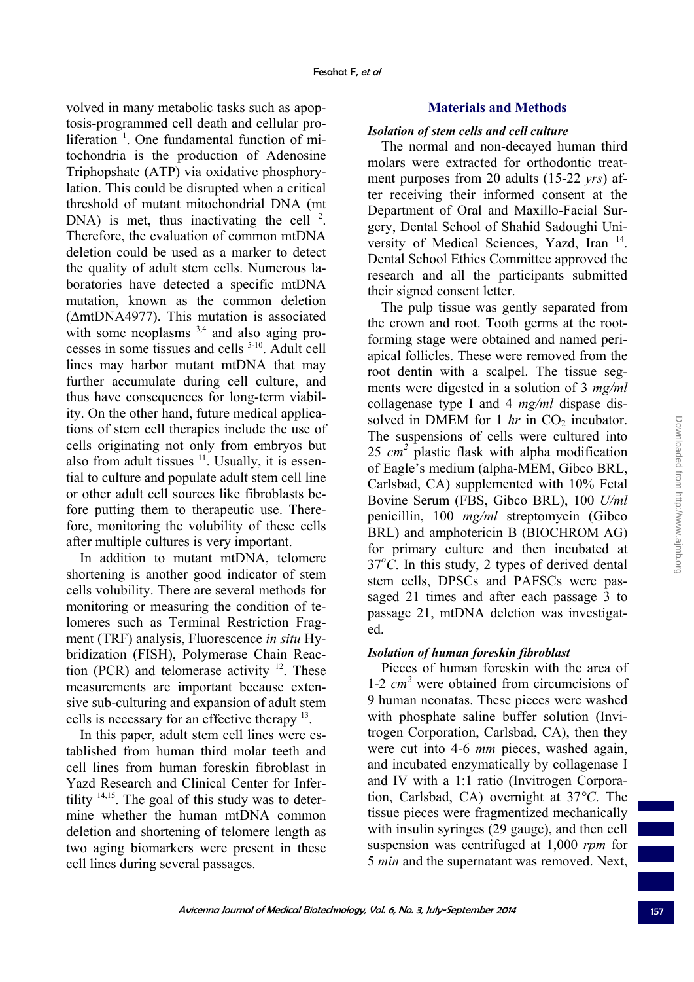volved in many metabolic tasks such as apoptosis-programmed cell death and cellular proliferation<sup>1</sup>. One fundamental function of mitochondria is the production of Adenosine Triphopshate (ATP) via oxidative phosphorylation. This could be disrupted when a critical threshold of mutant mitochondrial DNA (mt DNA) is met, thus inactivating the cell  $2$ . Therefore, the evaluation of common mtDNA deletion could be used as a marker to detect the quality of adult stem cells. Numerous laboratories have detected a specific mtDNA mutation, known as the common deletion (ΔmtDNA4977). This mutation is associated with some neoplasms  $3,4$  and also aging processes in some tissues and cells 5-10. Adult cell lines may harbor mutant mtDNA that may further accumulate during cell culture, and thus have consequences for long-term viability. On the other hand, future medical applications of stem cell therapies include the use of cells originating not only from embryos but also from adult tissues  $11$ . Usually, it is essential to culture and populate adult stem cell line or other adult cell sources like fibroblasts before putting them to therapeutic use. Therefore, monitoring the volubility of these cells after multiple cultures is very important.

In addition to mutant mtDNA, telomere shortening is another good indicator of stem cells volubility. There are several methods for monitoring or measuring the condition of telomeres such as Terminal Restriction Fragment (TRF) analysis, Fluorescence *in situ* Hybridization (FISH), Polymerase Chain Reaction (PCR) and telomerase activity  $12$ . These measurements are important because extensive sub-culturing and expansion of adult stem cells is necessary for an effective therapy 13.

In this paper, adult stem cell lines were established from human third molar teeth and cell lines from human foreskin fibroblast in Yazd Research and Clinical Center for Infertility  $14,15$ . The goal of this study was to determine whether the human mtDNA common deletion and shortening of telomere length as two aging biomarkers were present in these cell lines during several passages.

# **Materials and Methods**

# *Isolation of stem cells and cell culture*

The normal and non-decayed human third molars were extracted for orthodontic treatment purposes from 20 adults (15-22 *yrs*) after receiving their informed consent at the Department of Oral and Maxillo-Facial Surgery, Dental School of Shahid Sadoughi University of Medical Sciences, Yazd, Iran 14. Dental School Ethics Committee approved the research and all the participants submitted their signed consent letter.

The pulp tissue was gently separated from the crown and root. Tooth germs at the rootforming stage were obtained and named periapical follicles. These were removed from the root dentin with a scalpel. The tissue segments were digested in a solution of 3 *mg/ml* collagenase type I and 4 *mg/ml* dispase dissolved in DMEM for  $1 \ hr$  in  $CO<sub>2</sub>$  incubator. The suspensions of cells were cultured into 25  $cm<sup>2</sup>$  plastic flask with alpha modification of Eagle's medium (alpha-MEM, Gibco BRL, Carlsbad, CA) supplemented with 10% Fetal Bovine Serum (FBS, Gibco BRL), 100 *U/ml* penicillin, 100 *mg/ml* streptomycin (Gibco BRL) and amphotericin B (BIOCHROM AG) for primary culture and then incubated at  $37^{\circ}$ C. In this study, 2 types of derived dental stem cells, DPSCs and PAFSCs were passaged 21 times and after each passage 3 to passage 21, mtDNA deletion was investigated.

# *Isolation of human foreskin fibroblast*

Pieces of human foreskin with the area of 1-2 *cm 2* were obtained from circumcisions of 9 human neonatas. These pieces were washed with phosphate saline buffer solution (Invitrogen Corporation, Carlsbad, CA), then they were cut into 4-6 *mm* pieces, washed again, and incubated enzymatically by collagenase I and IV with a 1:1 ratio (Invitrogen Corporation, Carlsbad, CA) overnight at 37*°C*. The tissue pieces were fragmentized mechanically with insulin syringes (29 gauge), and then cell suspension was centrifuged at 1,000 *rpm* for 5 *min* and the supernatant was removed. Next,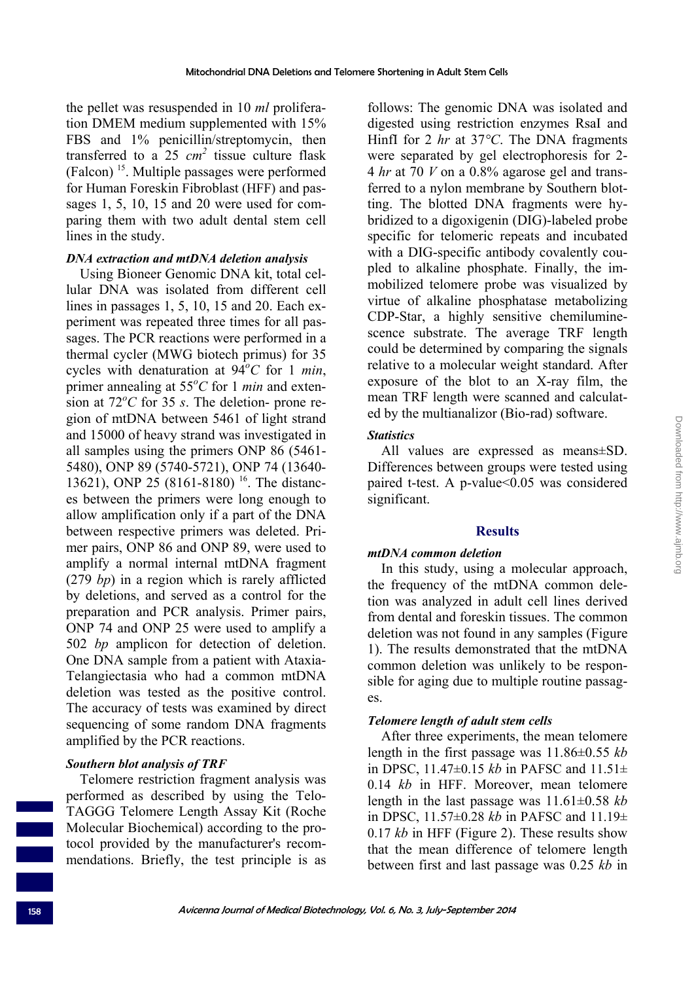the pellet was resuspended in 10 *ml* proliferation DMEM medium supplemented with 15% FBS and 1% penicillin/streptomycin, then transferred to a  $25 \text{ cm}^2$  tissue culture flask (Falcon) 15. Multiple passages were performed for Human Foreskin Fibroblast (HFF) and passages 1, 5, 10, 15 and 20 were used for comparing them with two adult dental stem cell lines in the study.

### *DNA extraction and mtDNA deletion analysis*

Using Bioneer Genomic DNA kit, total cellular DNA was isolated from different cell lines in passages 1, 5, 10, 15 and 20. Each experiment was repeated three times for all passages. The PCR reactions were performed in a thermal cycler (MWG biotech primus) for 35 cycles with denaturation at  $94^{\circ}$ C for 1 *min*, primer annealing at 55*<sup>o</sup> C* for 1 *min* and exten- $\frac{1}{2}$  sion at 72<sup>o</sup>C for 35 *s*. The deletion- prone region of mtDNA between 5461 of light strand and 15000 of heavy strand was investigated in all samples using the primers ONP 86 (5461- 5480), ONP 89 (5740-5721), ONP 74 (13640- 13621), ONP 25 (8161-8180) <sup>16</sup>. The distances between the primers were long enough to allow amplification only if a part of the DNA between respective primers was deleted. Primer pairs, ONP 86 and ONP 89, were used to amplify a normal internal mtDNA fragment (279 *bp*) in a region which is rarely afflicted by deletions, and served as a control for the preparation and PCR analysis. Primer pairs, ONP 74 and ONP 25 were used to amplify a 502 *bp* amplicon for detection of deletion. One DNA sample from a patient with Ataxia-Telangiectasia who had a common mtDNA deletion was tested as the positive control. The accuracy of tests was examined by direct sequencing of some random DNA fragments amplified by the PCR reactions.

# *Southern blot analysis of TRF*

Telomere restriction fragment analysis was performed as described by using the Telo-TAGGG Telomere Length Assay Kit (Roche Molecular Biochemical) according to the protocol provided by the manufacturer's recommendations. Briefly, the test principle is as

follows: The genomic DNA was isolated and digested using restriction enzymes RsaI and HinfI for 2 *hr* at 37*°C*. The DNA fragments were separated by gel electrophoresis for 2- 4 *hr* at 70 *V* on a 0.8% agarose gel and transferred to a nylon membrane by Southern blotting. The blotted DNA fragments were hybridized to a digoxigenin (DIG)-labeled probe specific for telomeric repeats and incubated with a DIG-specific antibody covalently coupled to alkaline phosphate. Finally, the immobilized telomere probe was visualized by virtue of alkaline phosphatase metabolizing CDP-Star, a highly sensitive chemiluminescence substrate. The average TRF length could be determined by comparing the signals relative to a molecular weight standard. After exposure of the blot to an X-ray film, the mean TRF length were scanned and calculated by the multianalizor (Bio-rad) software.

#### *Statistics*

All values are expressed as means±SD. Differences between groups were tested using paired t-test. A p-value<0.05 was considered significant.

### **Results**

### *mtDNA common deletion*

In this study, using a molecular approach, the frequency of the mtDNA common deletion was analyzed in adult cell lines derived from dental and foreskin tissues. The common deletion was not found in any samples (Figure 1). The results demonstrated that the mtDNA common deletion was unlikely to be responsible for aging due to multiple routine passages.

# *Telomere length of adult stem cells*

After three experiments, the mean telomere length in the first passage was 11.86±0.55 *kb* in DPSC, 11.47±0.15 *kb* in PAFSC and 11.51± 0.14 *kb* in HFF. Moreover, mean telomere length in the last passage was 11.61±0.58 *kb* in DPSC, 11.57±0.28 *kb* in PAFSC and 11.19± 0.17 *kb* in HFF (Figure 2). These results show that the mean difference of telomere length between first and last passage was 0.25 *kb* in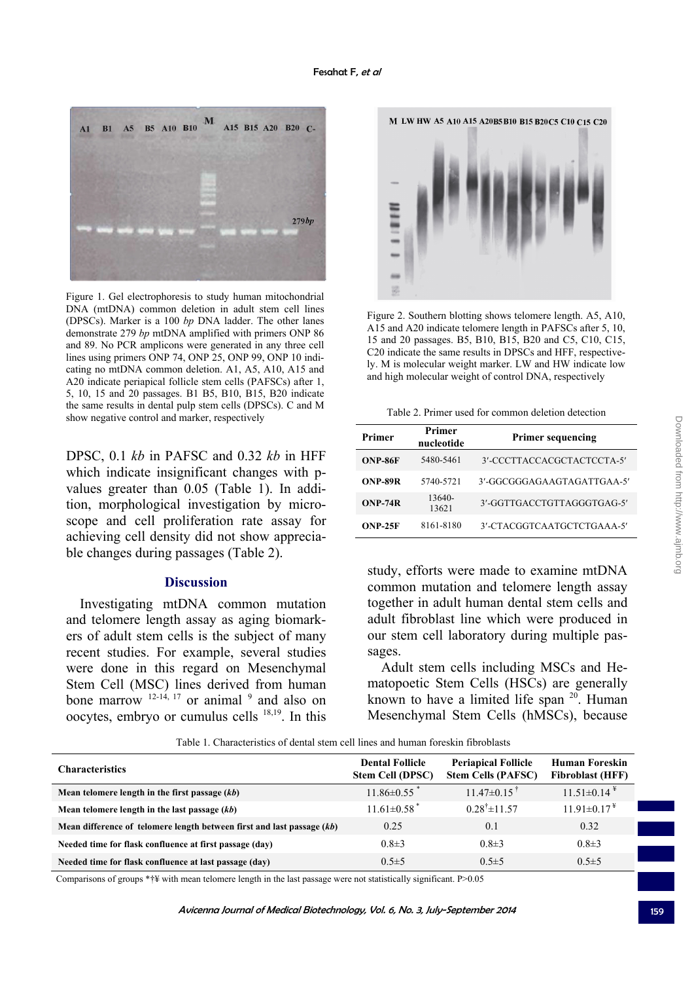

Figure 1. Gel electrophoresis to study human mitochondrial DNA (mtDNA) common deletion in adult stem cell lines (DPSCs). Marker is a 100 *bp* DNA ladder. The other lanes demonstrate 279 *bp* mtDNA amplified with primers ONP 86 and 89. No PCR amplicons were generated in any three cell lines using primers ONP 74, ONP 25, ONP 99, ONP 10 indicating no mtDNA common deletion. A1, A5, A10, A15 and A20 indicate periapical follicle stem cells (PAFSCs) after 1, 5, 10, 15 and 20 passages. B1 B5, B10, B15, B20 indicate the same results in dental pulp stem cells (DPSCs). C and M show negative control and marker, respectively<br>show negative control and marker, respectively

DPSC, 0.1 *kb* in PAFSC and 0.32 *kb* in HFF which indicate insignificant changes with pvalues greater than 0.05 (Table 1). In addition, morphological investigation by microscope and cell proliferation rate assay for achieving cell density did not show appreciable changes during passages (Table 2).

#### **Discussion**

Investigating mtDNA common mutation and telomere length assay as aging biomarkers of adult stem cells is the subject of many recent studies. For example, several studies were done in this regard on Mesenchymal Stem Cell (MSC) lines derived from human bone marrow  $12-14$ ,  $17$  or animal  $9$  and also on oocytes, embryo or cumulus cells 18,19. In this



Figure 2. Southern blotting shows telomere length. A5, A10, A15 and A20 indicate telomere length in PAFSCs after 5, 10, 15 and 20 passages. B5, B10, B15, B20 and C5, C10, C15, C20 indicate the same results in DPSCs and HFF, respectively. M is molecular weight marker. LW and HW indicate low and high molecular weight of control DNA, respectively

| Primer    | Primer<br>nucleotide | <b>Primer sequencing</b>   |  |
|-----------|----------------------|----------------------------|--|
| ONP-86F   | 5480-5461            | 3'-CCCTTACCACGCTACTCCTA-5' |  |
| ONP-89R   | 5740-5721            | 3'-GGCGGGAGAAGTAGATTGAA-5' |  |
| $ONP-74R$ | 13640-<br>13621      | 3'-GGTTGACCTGTTAGGGTGAG-5' |  |
| $ONP-25F$ | 8161-8180            | 3'-CTACGGTCAATGCTCTGAAA-5' |  |

study, efforts were made to examine mtDNA common mutation and telomere length assay together in adult human dental stem cells and adult fibroblast line which were produced in our stem cell laboratory during multiple passages.

Adult stem cells including MSCs and Hematopoetic Stem Cells (HSCs) are generally known to have a limited life span  $20$ . Human Mesenchymal Stem Cells (hMSCs), because

Table 1. Characteristics of dental stem cell lines and human foreskin fibroblasts

| <b>Characteristics</b>                                                 | <b>Dental Follicle</b><br>Stem Cell (DPSC) | <b>Periapical Follicle</b><br><b>Stem Cells (PAFSC)</b> | Human Foreskin<br><b>Fibroblast (HFF)</b> |  |
|------------------------------------------------------------------------|--------------------------------------------|---------------------------------------------------------|-------------------------------------------|--|
| Mean telomere length in the first passage $(kb)$                       | $11.86 \pm 0.55$                           | $11.47\pm0.15$ <sup>†</sup>                             | $11.51\pm0.14$ <sup>¥</sup>               |  |
| Mean telomere length in the last passage $(kb)$                        | $11.61 \pm 0.58$ <sup>*</sup>              | $0.28^{\dagger} \pm 11.57$                              | $11.91 \pm 0.17$ <sup>¥</sup>             |  |
| Mean difference of telomere length between first and last passage (kb) | 0.25                                       | 0.1                                                     | 0.32                                      |  |
| Needed time for flask confluence at first passage (day)                | $0.8 \pm 3$                                | $0.8 \pm 3$                                             | $0.8 \pm 3$                               |  |
| Needed time for flask confluence at last passage (day)                 | $0.5 \pm 5$                                | $0.5 \pm 5$                                             | $0.5 \pm 5$                               |  |

Comparisons of groups \*†¥ with mean telomere length in the last passage were not statistically significant. P>0.05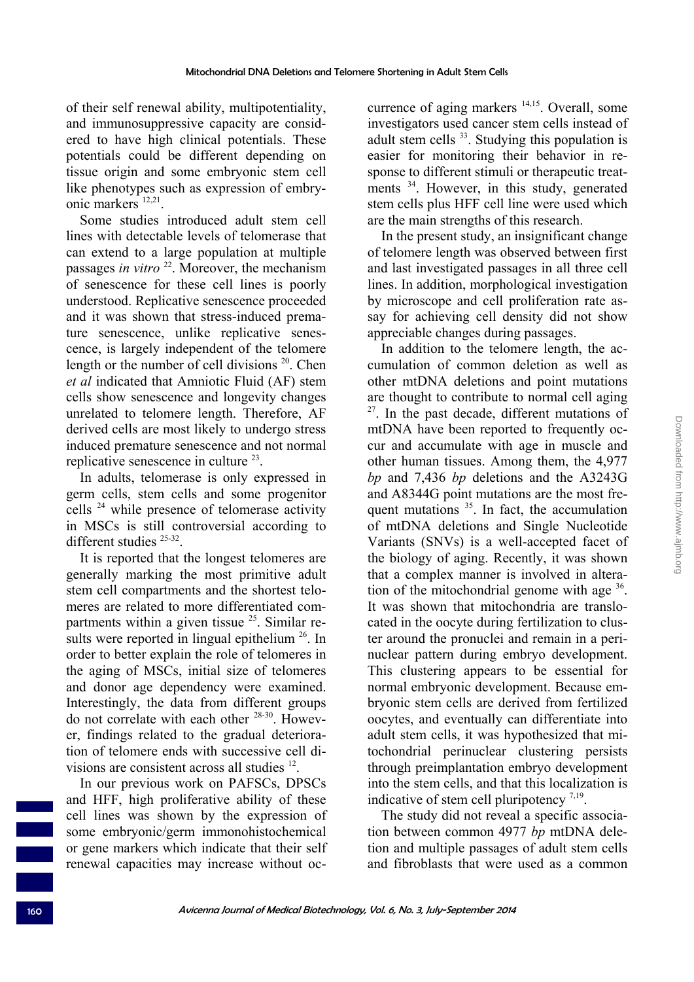of their self renewal ability, multipotentiality, and immunosuppressive capacity are considered to have high clinical potentials. These potentials could be different depending on tissue origin and some embryonic stem cell like phenotypes such as expression of embryonic markers 12,21.

Some studies introduced adult stem cell lines with detectable levels of telomerase that can extend to a large population at multiple passages *in vitro* 22. Moreover, the mechanism of senescence for these cell lines is poorly understood. Replicative senescence proceeded and it was shown that stress-induced premature senescence, unlike replicative senescence, is largely independent of the telomere length or the number of cell divisions  $20$ . Chen *et al* indicated that Amniotic Fluid (AF) stem cells show senescence and longevity changes unrelated to telomere length. Therefore, AF derived cells are most likely to undergo stress induced premature senescence and not normal replicative senescence in culture  $23$ .

In adults, telomerase is only expressed in germ cells, stem cells and some progenitor cells 24 while presence of telomerase activity in MSCs is still controversial according to different studies <sup>25-32</sup>

It is reported that the longest telomeres are generally marking the most primitive adult stem cell compartments and the shortest telomeres are related to more differentiated compartments within a given tissue  $25$ . Similar results were reported in lingual epithelium  $26$ . In order to better explain the role of telomeres in the aging of MSCs, initial size of telomeres and donor age dependency were examined. Interestingly, the data from different groups do not correlate with each other 28-30. However, findings related to the gradual deterioration of telomere ends with successive cell divisions are consistent across all studies <sup>12</sup>.

In our previous work on PAFSCs, DPSCs and HFF, high proliferative ability of these cell lines was shown by the expression of some embryonic/germ immonohistochemical or gene markers which indicate that their self renewal capacities may increase without occurrence of aging markers <sup>14,15</sup>. Overall, some investigators used cancer stem cells instead of adult stem cells  $33$ . Studying this population is easier for monitoring their behavior in response to different stimuli or therapeutic treatments <sup>34</sup>. However, in this study, generated stem cells plus HFF cell line were used which are the main strengths of this research.

In the present study, an insignificant change of telomere length was observed between first and last investigated passages in all three cell lines. In addition, morphological investigation by microscope and cell proliferation rate assay for achieving cell density did not show appreciable changes during passages.

In addition to the telomere length, the accumulation of common deletion as well as other mtDNA deletions and point mutations are thought to contribute to normal cell aging  $27$ . In the past decade, different mutations of mtDNA have been reported to frequently occur and accumulate with age in muscle and other human tissues. Among them, the 4,977 *bp* and 7,436 *bp* deletions and the A3243G and A8344G point mutations are the most frequent mutations  $35$ . In fact, the accumulation of mtDNA deletions and Single Nucleotide Variants (SNVs) is a well-accepted facet of the biology of aging. Recently, it was shown that a complex manner is involved in alteration of the mitochondrial genome with age  $36$ . It was shown that mitochondria are translocated in the oocyte during fertilization to cluster around the pronuclei and remain in a perinuclear pattern during embryo development. This clustering appears to be essential for normal embryonic development. Because embryonic stem cells are derived from fertilized oocytes, and eventually can differentiate into adult stem cells, it was hypothesized that mitochondrial perinuclear clustering persists through preimplantation embryo development into the stem cells, and that this localization is indicative of stem cell pluripotency  $7,19$ .

The study did not reveal a specific association between common 4977 *bp* mtDNA deletion and multiple passages of adult stem cells and fibroblasts that were used as a common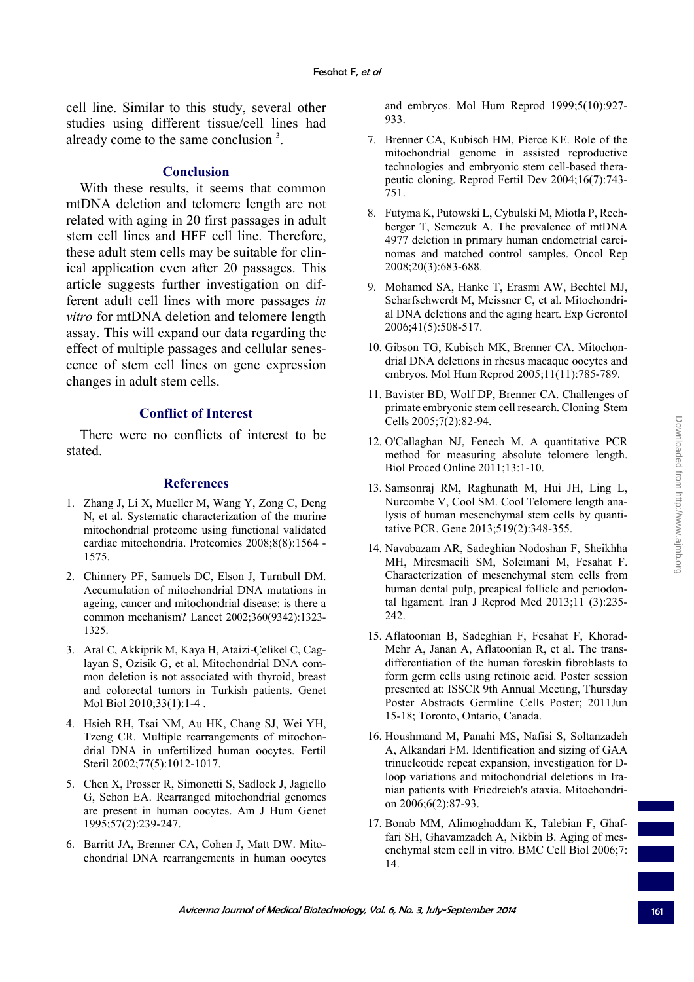cell line. Similar to this study, several other studies using different tissue/cell lines had already come to the same conclusion  $3$ .

# **Conclusion**

With these results, it seems that common mtDNA deletion and telomere length are not related with aging in 20 first passages in adult stem cell lines and HFF cell line. Therefore, these adult stem cells may be suitable for clinical application even after 20 passages. This article suggests further investigation on different adult cell lines with more passages *in vitro* for mtDNA deletion and telomere length assay. This will expand our data regarding the effect of multiple passages and cellular senescence of stem cell lines on gene expression changes in adult stem cells.

# **Conflict of Interest**

There were no conflicts of interest to be stated.

### **References**

- 1. Zhang J, Li X, Mueller M, Wang Y, Zong C, Deng N, et al. Systematic characterization of the murine mitochondrial proteome using functional validated cardiac mitochondria. Proteomics 2008;8(8):1564 - 1575.
- 2. Chinnery PF, Samuels DC, Elson J, Turnbull DM. Accumulation of mitochondrial DNA mutations in ageing, cancer and mitochondrial disease: is there a common mechanism? Lancet 2002;360(9342):1323- 1325.
- 3. Aral C, Akkiprik M, Kaya H, Ataizi-Çelikel C, Caglayan S, Ozisik G, et al. Mitochondrial DNA common deletion is not associated with thyroid, breast and colorectal tumors in Turkish patients. Genet Mol Biol 2010;33(1):1-4 .
- 4. Hsieh RH, Tsai NM, Au HK, Chang SJ, Wei YH, Tzeng CR. Multiple rearrangements of mitochondrial DNA in unfertilized human oocytes. Fertil Steril 2002;77(5):1012-1017.
- 5. Chen X, Prosser R, Simonetti S, Sadlock J, Jagiello G, Schon EA. Rearranged mitochondrial genomes are present in human oocytes. Am J Hum Genet 1995;57(2):239-247.
- 6. Barritt JA, Brenner CA, Cohen J, Matt DW. Mitochondrial DNA rearrangements in human oocytes

and embryos. Mol Hum Reprod 1999;5(10):927- 933.

- 7. Brenner CA, Kubisch HM, Pierce KE. Role of the mitochondrial genome in assisted reproductive technologies and embryonic stem cell-based therapeutic cloning. Reprod Fertil Dev 2004;16(7):743- 751.
- 8. Futyma K, Putowski L, Cybulski M, Miotla P, Rechberger T, Semczuk A. The prevalence of mtDNA 4977 deletion in primary human endometrial carcinomas and matched control samples. Oncol Rep 2008;20(3):683-688.
- 9. Mohamed SA, Hanke T, Erasmi AW, Bechtel MJ, Scharfschwerdt M, Meissner C, et al. Mitochondrial DNA deletions and the aging heart. Exp Gerontol 2006;41(5):508-517.
- 10. Gibson TG, Kubisch MK, Brenner CA. Mitochondrial DNA deletions in rhesus macaque oocytes and embryos. Mol Hum Reprod 2005;11(11):785-789.
- 11. Bavister BD, Wolf DP, Brenner CA. Challenges of primate embryonic stem cell research. Cloning Stem Cells 2005;7(2):82-94.
- 12. O'Callaghan NJ, Fenech M. A quantitative PCR method for measuring absolute telomere length. Biol Proced Online 2011;13:1-10.
- 13. Samsonraj RM, Raghunath M, Hui JH, Ling L, Nurcombe V, Cool SM. Cool Telomere length analysis of human mesenchymal stem cells by quantitative PCR. Gene 2013;519(2):348-355.
- 14. Navabazam AR, Sadeghian Nodoshan F, Sheikhha MH, Miresmaeili SM, Soleimani M, Fesahat F. Characterization of mesenchymal stem cells from human dental pulp, preapical follicle and periodontal ligament. Iran J Reprod Med 2013;11 (3):235- 242.
- 15. Aflatoonian B, Sadeghian F, Fesahat F, Khorad-Mehr A, Janan A, Aflatoonian R, et al. The transdifferentiation of the human foreskin fibroblasts to form germ cells using retinoic acid. Poster session presented at: ISSCR 9th Annual Meeting, Thursday Poster Abstracts Germline Cells Poster; 2011Jun 15-18; Toronto, Ontario, Canada.
- 16. Houshmand M, Panahi MS, Nafisi S, Soltanzadeh A, Alkandari FM. Identification and sizing of GAA trinucleotide repeat expansion, investigation for Dloop variations and mitochondrial deletions in Iranian patients with Friedreich's ataxia. Mitochondrion 2006;6(2):87-93.
- 17. Bonab MM, Alimoghaddam K, Talebian F, Ghaffari SH, Ghavamzadeh A, Nikbin B. Aging of mesenchymal stem cell in vitro. BMC Cell Biol 2006;7: 14.